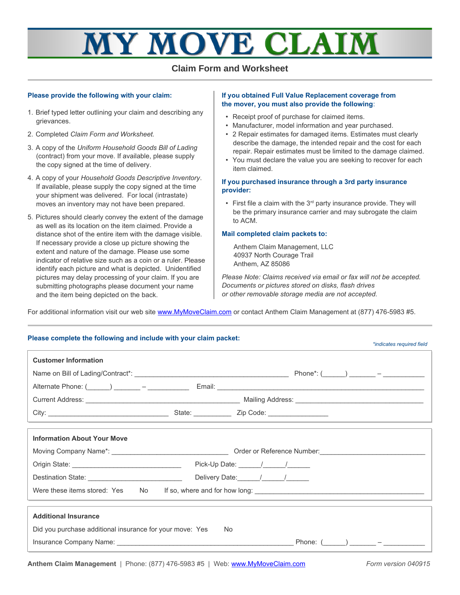# Y MOVE CLA

### **Claim Form and Worksheet**

#### **Please provide the following with your claim:**

- 1. Brief typed letter outlining your claim and describing any grievances.
- 2. Completed *Claim Form and Worksheet.*
- 3. A copy of the *Uniform Household Goods Bill of Lading* (contract) from your move. If available, please supply the copy signed at the time of delivery.
- 4. A copy of your *Household Goods Descriptive Inventory*. If available, please supply the copy signed at the time your shipment was delivered. For local (intrastate) moves an inventory may not have been prepared.
- 5. Pictures should clearly convey the extent of the damage as well as its location on the item claimed. Provide a distance shot of the entire item with the damage visible. If necessary provide a close up picture showing the extent and nature of the damage. Please use some indicator of relative size such as a coin or a ruler. Please identify each picture and what is depicted. Unidentified pictures may delay processing of your claim. If you are submitting photographs please document your name and the item being depicted on the back.

#### **If you obtained Full Value Replacement coverage from the mover, you must also provide the following**:

- Receipt proof of purchase for claimed items.
- Manufacturer, model information and year purchased.
- 2 Repair estimates for damaged items. Estimates must clearly describe the damage, the intended repair and the cost for each repair. Repair estimates must be limited to the damage claimed.
- You must declare the value you are seeking to recover for each item claimed.

#### **If you purchased insurance through a 3rd party insurance provider:**

 $\bullet$  First file a claim with the 3<sup>rd</sup> party insurance provide. They will be the primary insurance carrier and may subrogate the claim to ACM.

#### **Mail completed claim packets to:**

Anthem Claim Management, LLC 40937 North Courage Trail Anthem, AZ 85086

*Please Note: Claims received via email or fax will not be accepted. Documents or pictures stored on disks, flash drives or other removable storage media are not accepted.* 

For additional information visit our web site [www.MyMoveClaim.com](http://www.MyMoveClaim.com/) or contact Anthem Claim Management at (877) 476-5983 #5.

| Please complete the following and include with your claim packet:                       | *indicates required field                                                                                                                                                                                                                                                                                                                                                                                          |
|-----------------------------------------------------------------------------------------|--------------------------------------------------------------------------------------------------------------------------------------------------------------------------------------------------------------------------------------------------------------------------------------------------------------------------------------------------------------------------------------------------------------------|
| <b>Customer Information</b>                                                             |                                                                                                                                                                                                                                                                                                                                                                                                                    |
|                                                                                         |                                                                                                                                                                                                                                                                                                                                                                                                                    |
|                                                                                         |                                                                                                                                                                                                                                                                                                                                                                                                                    |
|                                                                                         |                                                                                                                                                                                                                                                                                                                                                                                                                    |
|                                                                                         |                                                                                                                                                                                                                                                                                                                                                                                                                    |
| <b>Information About Your Move</b>                                                      |                                                                                                                                                                                                                                                                                                                                                                                                                    |
|                                                                                         |                                                                                                                                                                                                                                                                                                                                                                                                                    |
|                                                                                         | Pick-Up Date: $\frac{1}{\sqrt{1-\frac{1}{2}}}\frac{1}{\sqrt{1-\frac{1}{2}}}\frac{1}{\sqrt{1-\frac{1}{2}}}\frac{1}{\sqrt{1-\frac{1}{2}}}\frac{1}{\sqrt{1-\frac{1}{2}}}\frac{1}{\sqrt{1-\frac{1}{2}}}\frac{1}{\sqrt{1-\frac{1}{2}}}\frac{1}{\sqrt{1-\frac{1}{2}}}\frac{1}{\sqrt{1-\frac{1}{2}}}\frac{1}{\sqrt{1-\frac{1}{2}}}\frac{1}{\sqrt{1-\frac{1}{2}}}\frac{1}{\sqrt{1-\frac{1}{2}}}\frac{1}{\sqrt{1-\frac{1}{$ |
| Destination State: ______________________________                                       | Delivery Date: \[\squad \]                                                                                                                                                                                                                                                                                                                                                                                         |
|                                                                                         |                                                                                                                                                                                                                                                                                                                                                                                                                    |
| <b>Additional Insurance</b><br>Did you purchase additional insurance for your move: Yes | No.                                                                                                                                                                                                                                                                                                                                                                                                                |
|                                                                                         |                                                                                                                                                                                                                                                                                                                                                                                                                    |